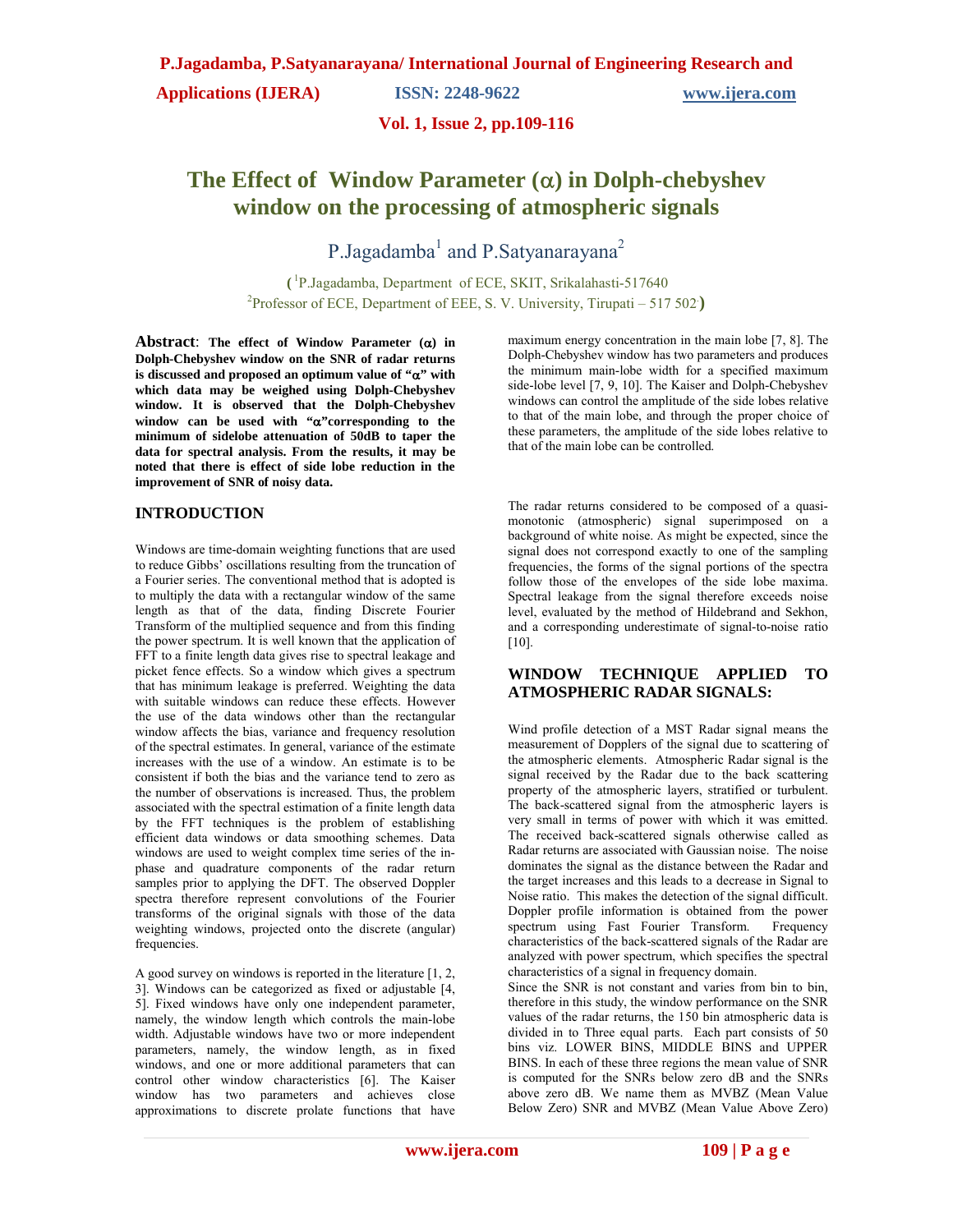**Applications (IJERA) ISSN: 2248-9622 www.ijera.com** 

#### **Vol. 1, Issue 2, pp.109-116**

# The Effect of Window Parameter  $(\alpha)$  in Dolph-chebyshev **window on the processing of atmospheric signals**

P.Jagadamba<sup>1</sup> and P.Satyanarayana<sup>2</sup>

**(** 1 P.Jagadamba, Department of ECE, SKIT, Srikalahasti-517640 <sup>2</sup>Professor of ECE, Department of EEE, S. V. University, Tirupati – 517 502)

Abstract: The effect of Window Parameter  $(\alpha)$  in **Dolph-Chebyshev window on the SNR of radar returns**  is discussed and proposed an optimum value of " $\alpha$ " with **which data may be weighed using Dolph-Chebyshev window. It is observed that the Dolph-Chebyshev**  window can be used with "**a**" corresponding to the **minimum of sidelobe attenuation of 50dB to taper the data for spectral analysis. From the results, it may be noted that there is effect of side lobe reduction in the improvement of SNR of noisy data.**

#### **INTRODUCTION**

Windows are time-domain weighting functions that are used to reduce Gibbs' oscillations resulting from the truncation of a Fourier series. The conventional method that is adopted is to multiply the data with a rectangular window of the same length as that of the data, finding Discrete Fourier Transform of the multiplied sequence and from this finding the power spectrum. It is well known that the application of FFT to a finite length data gives rise to spectral leakage and picket fence effects. So a window which gives a spectrum that has minimum leakage is preferred. Weighting the data with suitable windows can reduce these effects. However the use of the data windows other than the rectangular window affects the bias, variance and frequency resolution of the spectral estimates. In general, variance of the estimate increases with the use of a window. An estimate is to be consistent if both the bias and the variance tend to zero as the number of observations is increased. Thus, the problem associated with the spectral estimation of a finite length data by the FFT techniques is the problem of establishing efficient data windows or data smoothing schemes. Data windows are used to weight complex time series of the inphase and quadrature components of the radar return samples prior to applying the DFT. The observed Doppler spectra therefore represent convolutions of the Fourier transforms of the original signals with those of the data weighting windows, projected onto the discrete (angular) frequencies.

A good survey on windows is reported in the literature [1, 2, 3]. Windows can be categorized as fixed or adjustable [4, 5]. Fixed windows have only one independent parameter, namely, the window length which controls the main-lobe width. Adjustable windows have two or more independent parameters, namely, the window length, as in fixed windows, and one or more additional parameters that can control other window characteristics [6]. The Kaiser window has two parameters and achieves close approximations to discrete prolate functions that have maximum energy concentration in the main lobe [7, 8]. The Dolph-Chebyshev window has two parameters and produces the minimum main-lobe width for a specified maximum side-lobe level [7, 9, 10]. The Kaiser and Dolph-Chebyshev windows can control the amplitude of the side lobes relative to that of the main lobe, and through the proper choice of these parameters, the amplitude of the side lobes relative to that of the main lobe can be controlled.

The radar returns considered to be composed of a quasimonotonic (atmospheric) signal superimposed on a background of white noise. As might be expected, since the signal does not correspond exactly to one of the sampling frequencies, the forms of the signal portions of the spectra follow those of the envelopes of the side lobe maxima. Spectral leakage from the signal therefore exceeds noise level, evaluated by the method of Hildebrand and Sekhon, and a corresponding underestimate of signal-to-noise ratio [10].

#### **WINDOW TECHNIQUE APPLIED TO ATMOSPHERIC RADAR SIGNALS:**

Wind profile detection of a MST Radar signal means the measurement of Dopplers of the signal due to scattering of the atmospheric elements. Atmospheric Radar signal is the signal received by the Radar due to the back scattering property of the atmospheric layers, stratified or turbulent. The back-scattered signal from the atmospheric layers is very small in terms of power with which it was emitted. The received back-scattered signals otherwise called as Radar returns are associated with Gaussian noise. The noise dominates the signal as the distance between the Radar and the target increases and this leads to a decrease in Signal to Noise ratio. This makes the detection of the signal difficult. Doppler profile information is obtained from the power spectrum using Fast Fourier Transform. Frequency characteristics of the back-scattered signals of the Radar are analyzed with power spectrum, which specifies the spectral characteristics of a signal in frequency domain.

Since the SNR is not constant and varies from bin to bin, therefore in this study, the window performance on the SNR values of the radar returns, the 150 bin atmospheric data is divided in to Three equal parts. Each part consists of 50 bins viz. LOWER BINS, MIDDLE BINS and UPPER BINS. In each of these three regions the mean value of SNR is computed for the SNRs below zero dB and the SNRs above zero dB. We name them as MVBZ (Mean Value Below Zero) SNR and MVBZ (Mean Value Above Zero)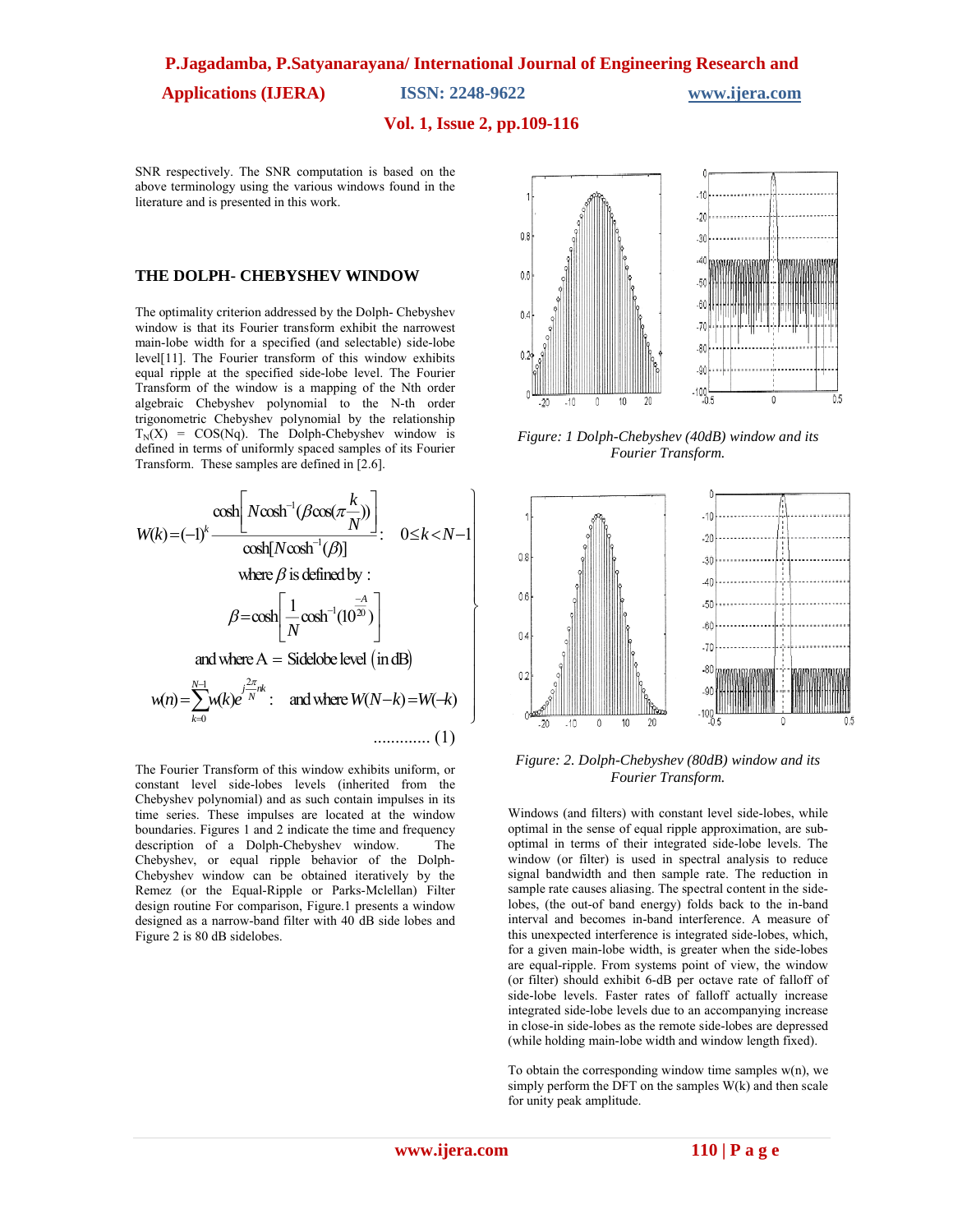**Applications (IJERA) ISSN: 2248-9622 www.ijera.com** 

#### **Vol. 1, Issue 2, pp.109-116**

SNR respectively. The SNR computation is based on the above terminology using the various windows found in the literature and is presented in this work.

#### **THE DOLPH- CHEBYSHEV WINDOW**

The optimality criterion addressed by the Dolph- Chebyshev window is that its Fourier transform exhibit the narrowest main-lobe width for a specified (and selectable) side-lobe level[11]. The Fourier transform of this window exhibits equal ripple at the specified side-lobe level. The Fourier Transform of the window is a mapping of the Nth order algebraic Chebyshev polynomial to the N-th order trigonometric Chebyshev polynomial by the relationship  $T_N(X) = COS(Nq)$ . The Dolph-Chebyshev window is defined in terms of uniformly spaced samples of its Fourier Transform. These samples are defined in [2.6].

$$
W(k) = (-1)^{k} \frac{\cosh\left[N\cosh^{-1}(\beta\cos(\pi\frac{k}{N}))\right]}{\cosh[N\cosh^{-1}(\beta)]}
$$
\nwhere  $\beta$  is defined by :  
\n
$$
\beta = \cosh\left[\frac{1}{N}\cosh^{-1}(10^{\frac{-A}{20}})\right]
$$
\nand where  $A = \text{Sidelobe level (in dB)}$   
\n
$$
w(n) = \sum_{k=0}^{N-1} w(k)e^{\int_{-N}^{2\pi} w(k)} \text{ and where } W(N-k) = W(-k)
$$
\n............ (1)

The Fourier Transform of this window exhibits uniform, or constant level side-lobes levels (inherited from the Chebyshev polynomial) and as such contain impulses in its time series. These impulses are located at the window boundaries. Figures 1 and 2 indicate the time and frequency description of a Dolph-Chebyshev window. The Chebyshev, or equal ripple behavior of the Dolph-Chebyshev window can be obtained iteratively by the Remez (or the Equal-Ripple or Parks-Mclellan) Filter design routine For comparison, Figure.1 presents a window designed as a narrow-band filter with 40 dB side lobes and Figure 2 is 80 dB sidelobes.



*Figure: 1 Dolph-Chebyshev (40dB) window and its Fourier Transform.*



*Figure: 2. Dolph-Chebyshev (80dB) window and its Fourier Transform.*

Windows (and filters) with constant level side-lobes, while optimal in the sense of equal ripple approximation, are suboptimal in terms of their integrated side-lobe levels. The window (or filter) is used in spectral analysis to reduce signal bandwidth and then sample rate. The reduction in sample rate causes aliasing. The spectral content in the sidelobes, (the out-of band energy) folds back to the in-band interval and becomes in-band interference. A measure of this unexpected interference is integrated side-lobes, which, for a given main-lobe width, is greater when the side-lobes are equal-ripple. From systems point of view, the window (or filter) should exhibit 6-dB per octave rate of falloff of side-lobe levels. Faster rates of falloff actually increase integrated side-lobe levels due to an accompanying increase in close-in side-lobes as the remote side-lobes are depressed (while holding main-lobe width and window length fixed).

To obtain the corresponding window time samples  $w(n)$ , we simply perform the  $\overline{DFT}$  on the samples  $W(k)$  and then scale for unity peak amplitude.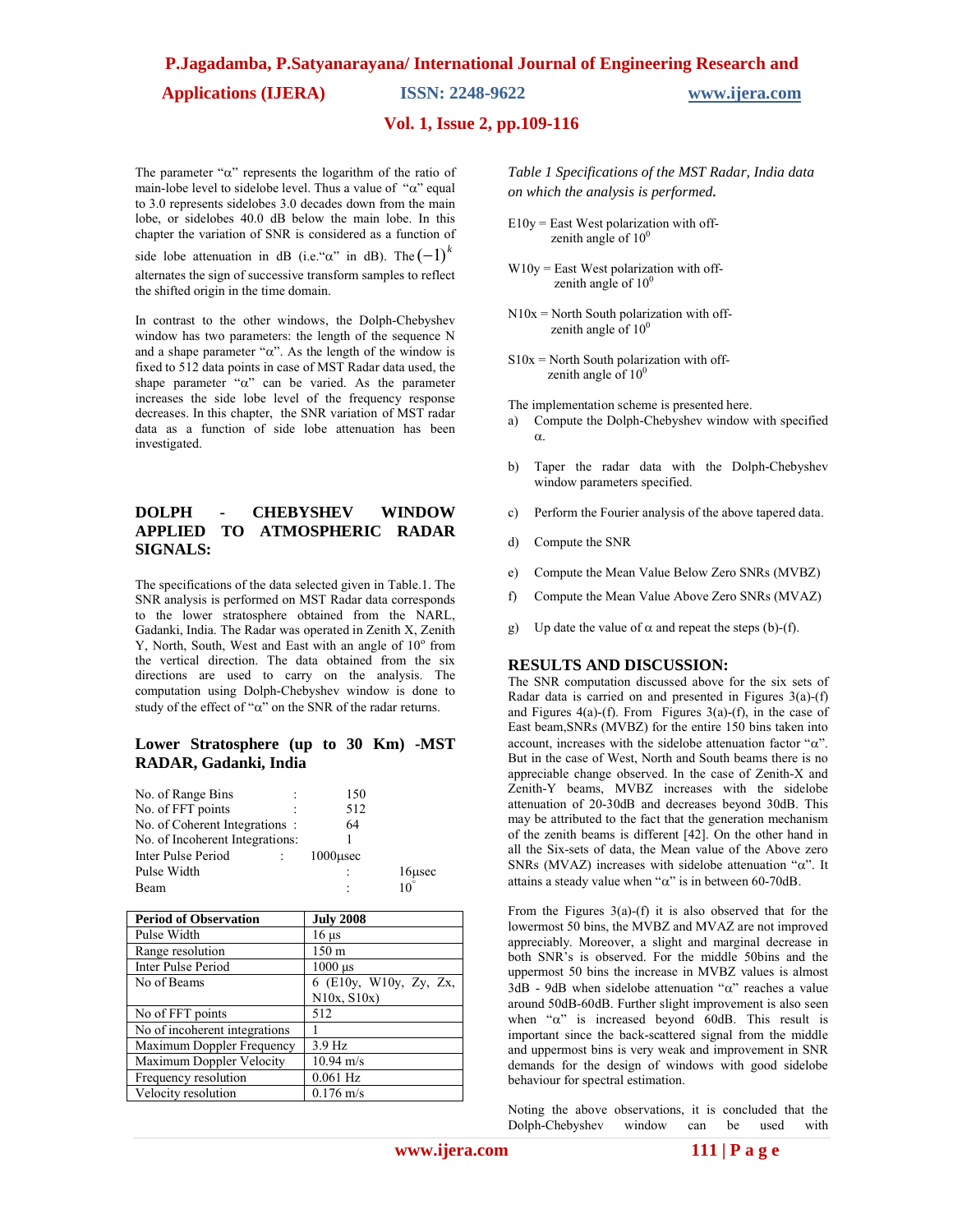**Applications (IJERA) ISSN: 2248-9622 www.ijera.com** 

### **Vol. 1, Issue 2, pp.109-116**

The parameter " $\alpha$ " represents the logarithm of the ratio of main-lobe level to sidelobe level. Thus a value of " $\alpha$ " equal to 3.0 represents sidelobes 3.0 decades down from the main lobe, or sidelobes 40.0 dB below the main lobe. In this chapter the variation of SNR is considered as a function of

side lobe attenuation in dB (i.e." $\alpha$ " in dB). The  $(-1)^k$ alternates the sign of successive transform samples to reflect the shifted origin in the time domain.

In contrast to the other windows, the Dolph-Chebyshev window has two parameters: the length of the sequence N and a shape parameter " $\alpha$ ". As the length of the window is fixed to 512 data points in case of MST Radar data used, the shape parameter " $\alpha$ " can be varied. As the parameter increases the side lobe level of the frequency response decreases. In this chapter, the SNR variation of MST radar data as a function of side lobe attenuation has been investigated.

#### **DOLPH - CHEBYSHEV WINDOW APPLIED TO ATMOSPHERIC RADAR SIGNALS:**

The specifications of the data selected given in Table.1. The SNR analysis is performed on MST Radar data corresponds to the lower stratosphere obtained from the NARL, Gadanki, India. The Radar was operated in Zenith X, Zenith Y, North, South, West and East with an angle of  $10^{\circ}$  from the vertical direction. The data obtained from the six directions are used to carry on the analysis. The computation using Dolph-Chebyshev window is done to study of the effect of " $\alpha$ " on the SNR of the radar returns.

#### **Lower Stratosphere (up to 30 Km) -MST RADAR, Gadanki, India**

| No. of Range Bins               |  | 150         |              |
|---------------------------------|--|-------------|--------------|
| No. of FFT points               |  | 512         |              |
| No. of Coherent Integrations:   |  | 64          |              |
| No. of Incoherent Integrations: |  |             |              |
| Inter Pulse Period              |  | $1000$ usec |              |
| Pulse Width                     |  |             | 16usec       |
| Beam                            |  |             | $10^{\circ}$ |

| <b>Period of Observation</b>  | <b>July 2008</b>       |
|-------------------------------|------------------------|
| Pulse Width                   | $16 \mu s$             |
| Range resolution              | 150 m                  |
| Inter Pulse Period            | $1000$ $\mu$ s         |
| No of Beams                   | 6 (E10y, W10y, Zy, Zx, |
|                               | $N10x$ , $S10x$        |
| No of FFT points              | 512                    |
| No of incoherent integrations |                        |
| Maximum Doppler Frequency     | 3.9 Hz                 |
| Maximum Doppler Velocity      | $10.94 \text{ m/s}$    |
| Frequency resolution          | $0.061$ Hz             |
| Velocity resolution           | $0.176$ m/s            |

*Table 1 Specifications of the MST Radar, India data on which the analysis is performed.*

- E10y = East West polarization with off zenith angle of  $10<sup>0</sup>$
- $W10y$  = East West polarization with offzenith angle of  $10<sup>0</sup>$
- $N10x = North South polarization with off$ zenith angle of  $10<sup>0</sup>$
- $S10x =$  North South polarization with offzenith angle of  $10<sup>0</sup>$

The implementation scheme is presented here.

- a) Compute the Dolph-Chebyshev window with specified  $\alpha$ .
- b) Taper the radar data with the Dolph-Chebyshev window parameters specified.
- c) Perform the Fourier analysis of the above tapered data.
- d) Compute the SNR
- e) Compute the Mean Value Below Zero SNRs (MVBZ)
- f) Compute the Mean Value Above Zero SNRs (MVAZ)
- g) Up date the value of  $\alpha$  and repeat the steps (b)-(f).

#### **RESULTS AND DISCUSSION:**

The SNR computation discussed above for the six sets of Radar data is carried on and presented in Figures 3(a)-(f) and Figures  $4(a)-(f)$ . From Figures  $3(a)-(f)$ , in the case of East beam,SNRs (MVBZ) for the entire 150 bins taken into account, increases with the sidelobe attenuation factor " $\alpha$ ". But in the case of West, North and South beams there is no appreciable change observed. In the case of Zenith-X and Zenith-Y beams, MVBZ increases with the sidelobe attenuation of 20-30dB and decreases beyond 30dB. This may be attributed to the fact that the generation mechanism of the zenith beams is different [42]. On the other hand in all the Six-sets of data, the Mean value of the Above zero SNRs (MVAZ) increases with sidelobe attenuation " $\alpha$ ". It attains a steady value when " $\alpha$ " is in between 60-70dB.

From the Figures  $3(a)$ -(f) it is also observed that for the lowermost 50 bins, the MVBZ and MVAZ are not improved appreciably. Moreover, a slight and marginal decrease in both SNR's is observed. For the middle 50bins and the uppermost 50 bins the increase in MVBZ values is almost  $3dB - 9dB$  when sidelobe attenuation " $\alpha$ " reaches a value around 50dB-60dB. Further slight improvement is also seen when " $\alpha$ " is increased beyond 60dB. This result is important since the back-scattered signal from the middle and uppermost bins is very weak and improvement in SNR demands for the design of windows with good sidelobe behaviour for spectral estimation.

Noting the above observations, it is concluded that the Dolph-Chebyshev window can be used with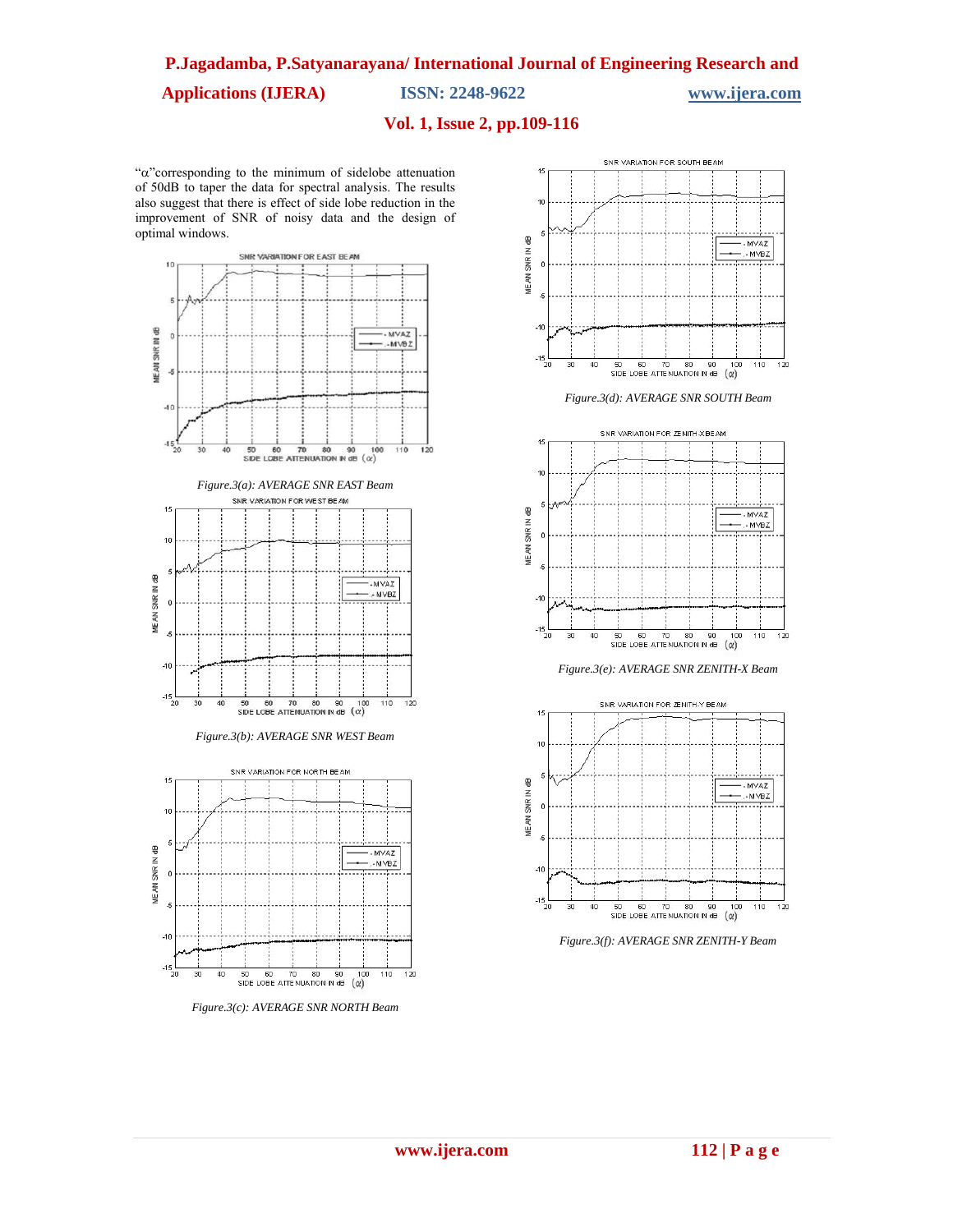**Applications (IJERA) ISSN: 2248-9622 www.ijera.com** 

### **Vol. 1, Issue 2, pp.109-116**

" $\alpha$ "corresponding to the minimum of sidelobe attenuation of 50dB to taper the data for spectral analysis. The results also suggest that there is effect of side lobe reduction in the improvement of SNR of noisy data and the design of optimal windows.



*Figure.3(c): AVERAGE SNR NORTH Beam*



*Figure.3(d): AVERAGE SNR SOUTH Beam*



*Figure.3(e): AVERAGE SNR ZENITH-X Beam*



*Figure.3(f): AVERAGE SNR ZENITH-Y Beam*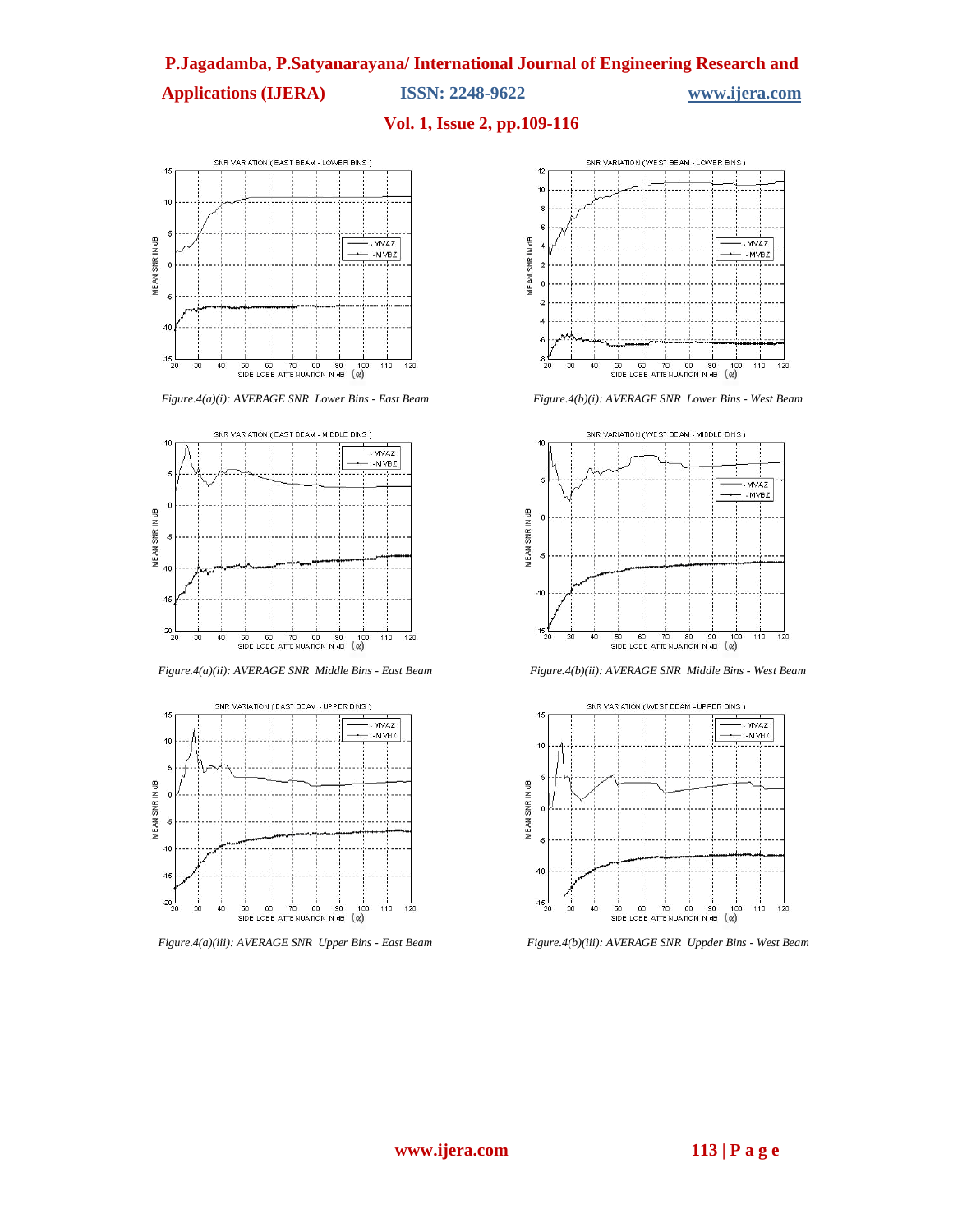**Applications (IJERA) ISSN: 2248-9622 www.ijera.com** 

# **Vol. 1, Issue 2, pp.109-116**



*Figure.4(a)(i): AVERAGE SNR Lower Bins - East Beam*



*Figure.4(a)(ii): AVERAGE SNR Middle Bins - East Beam*



*Figure.4(a)(iii): AVERAGE SNR Upper Bins - East Beam*



*Figure.4(b)(i): AVERAGE SNR Lower Bins - West Beam*



*Figure.4(b)(ii): AVERAGE SNR Middle Bins - West Beam*



*Figure.4(b)(iii): AVERAGE SNR Uppder Bins - West Beam*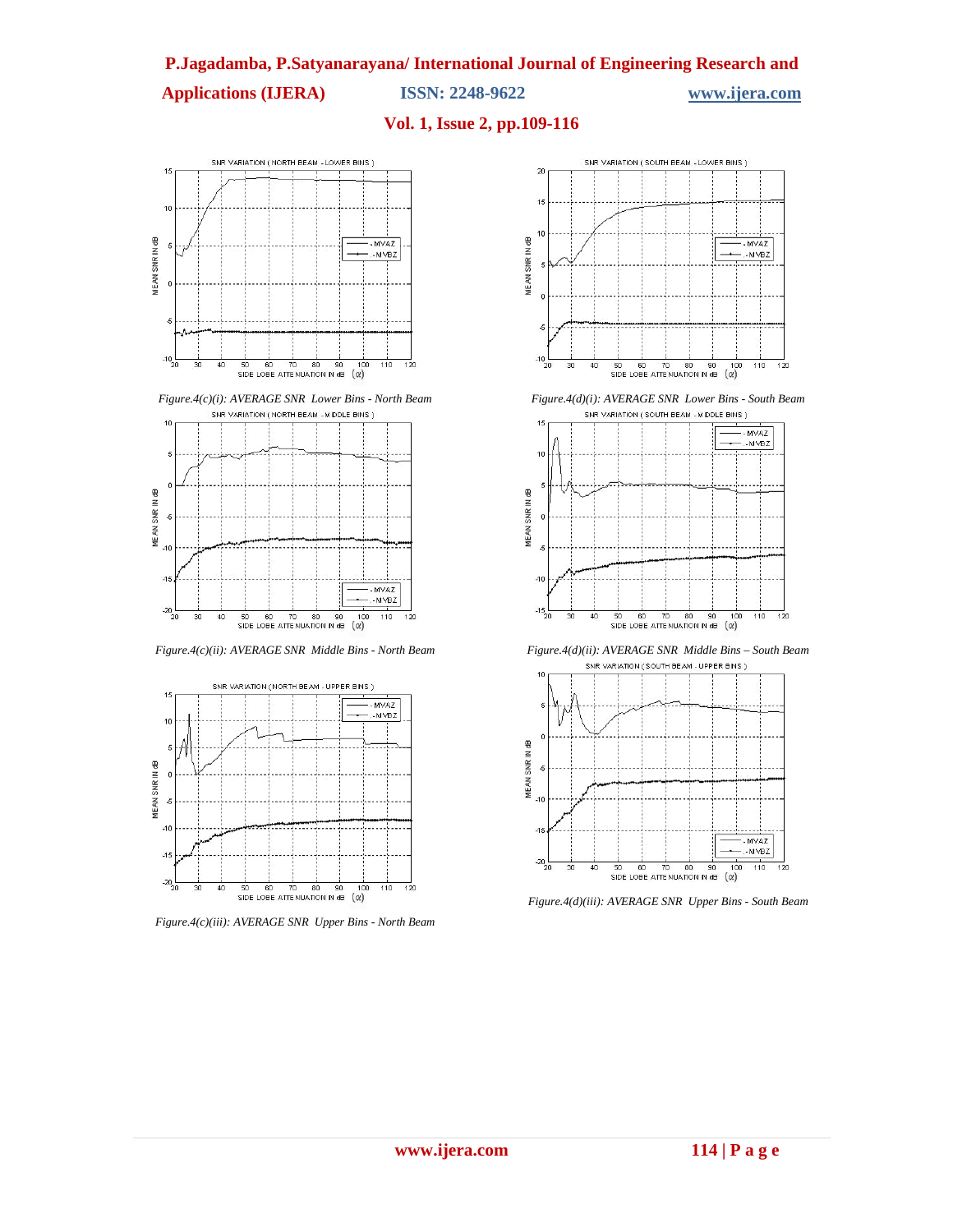## **Applications (IJERA) ISSN: 2248-9622 www.ijera.com**

# **Vol. 1, Issue 2, pp.109-116**



*Figure.4(c)(i): AVERAGE SNR Lower Bins - North Beam*



*Figure.4(c)(ii): AVERAGE SNR Middle Bins - North Beam*



*Figure.4(c)(iii): AVERAGE SNR Upper Bins - North Beam*



*Figure.4(d)(i): AVERAGE SNR Lower Bins - South Beam*



*Figure.4(d)(ii): AVERAGE SNR Middle Bins – South Beam* SNR VARIATION (SOUTH BEAM - UPPER BINS)



*Figure.4(d)(iii): AVERAGE SNR Upper Bins - South Beam*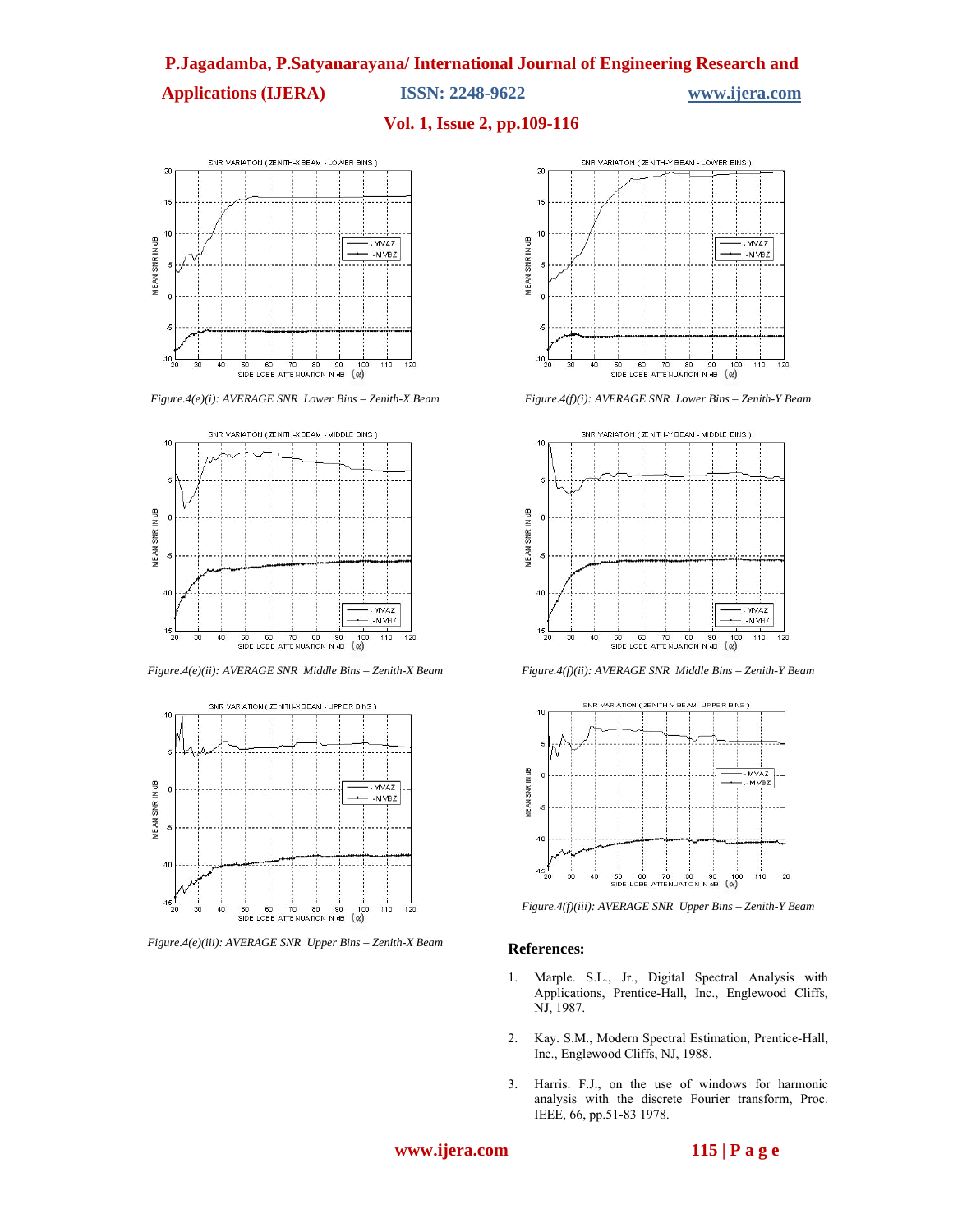## **Applications (IJERA) ISSN: 2248-9622 www.ijera.com**

### **Vol. 1, Issue 2, pp.109-116**



*Figure.4(e)(i): AVERAGE SNR Lower Bins – Zenith-X Beam*



*Figure.4(e)(ii): AVERAGE SNR Middle Bins – Zenith-X Beam*



*Figure.4(e)(iii): AVERAGE SNR Upper Bins – Zenith-X Beam*



*Figure.4(f)(i): AVERAGE SNR Lower Bins – Zenith-Y Beam*



*Figure.4(f)(ii): AVERAGE SNR Middle Bins – Zenith-Y Beam*



*Figure.4(f)(iii): AVERAGE SNR Upper Bins – Zenith-Y Beam*

#### **References:**

- 1. Marple. S.L., Jr., Digital Spectral Analysis with Applications, Prentice-Hall, Inc., Englewood Cliffs, NJ, 1987.
- 2. Kay. S.M., Modern Spectral Estimation, Prentice-Hall, Inc., Englewood Cliffs, NJ, 1988.
- 3. Harris. F.J., on the use of windows for harmonic analysis with the discrete Fourier transform, Proc. IEEE, 66, pp.51-83 1978.